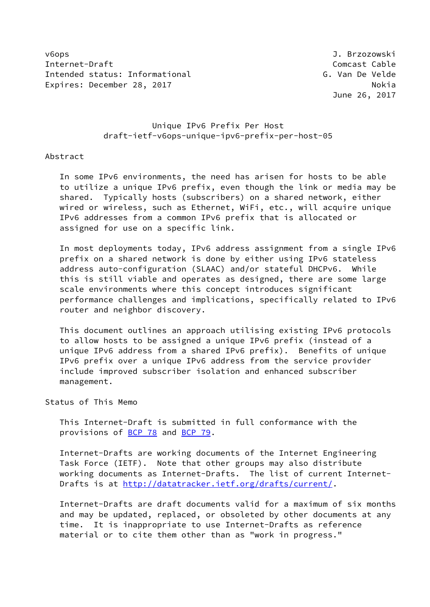v6ops J. Brzozowski Internet-Draft Comcast Cable Intended status: Informational G. Van De Velde Expires: December 28, 2017 Nokia

June 26, 2017

## Unique IPv6 Prefix Per Host draft-ietf-v6ops-unique-ipv6-prefix-per-host-05

### Abstract

 In some IPv6 environments, the need has arisen for hosts to be able to utilize a unique IPv6 prefix, even though the link or media may be shared. Typically hosts (subscribers) on a shared network, either wired or wireless, such as Ethernet, WiFi, etc., will acquire unique IPv6 addresses from a common IPv6 prefix that is allocated or assigned for use on a specific link.

 In most deployments today, IPv6 address assignment from a single IPv6 prefix on a shared network is done by either using IPv6 stateless address auto-configuration (SLAAC) and/or stateful DHCPv6. While this is still viable and operates as designed, there are some large scale environments where this concept introduces significant performance challenges and implications, specifically related to IPv6 router and neighbor discovery.

 This document outlines an approach utilising existing IPv6 protocols to allow hosts to be assigned a unique IPv6 prefix (instead of a unique IPv6 address from a shared IPv6 prefix). Benefits of unique IPv6 prefix over a unique IPv6 address from the service provider include improved subscriber isolation and enhanced subscriber management.

### Status of This Memo

 This Internet-Draft is submitted in full conformance with the provisions of [BCP 78](https://datatracker.ietf.org/doc/pdf/bcp78) and [BCP 79](https://datatracker.ietf.org/doc/pdf/bcp79).

 Internet-Drafts are working documents of the Internet Engineering Task Force (IETF). Note that other groups may also distribute working documents as Internet-Drafts. The list of current Internet- Drafts is at<http://datatracker.ietf.org/drafts/current/>.

 Internet-Drafts are draft documents valid for a maximum of six months and may be updated, replaced, or obsoleted by other documents at any time. It is inappropriate to use Internet-Drafts as reference material or to cite them other than as "work in progress."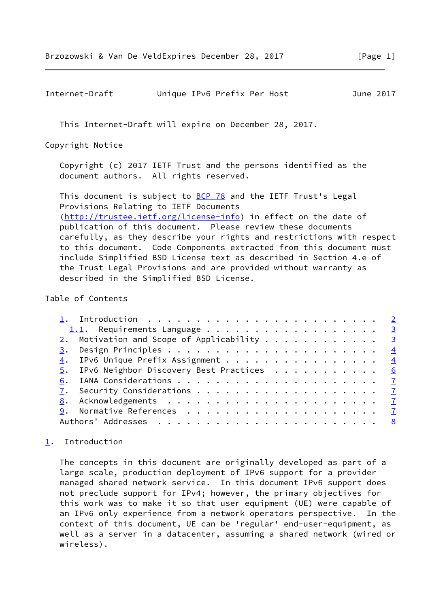<span id="page-1-1"></span>Internet-Draft Unique IPv6 Prefix Per Host June 2017

This Internet-Draft will expire on December 28, 2017.

Copyright Notice

 Copyright (c) 2017 IETF Trust and the persons identified as the document authors. All rights reserved.

This document is subject to **[BCP 78](https://datatracker.ietf.org/doc/pdf/bcp78)** and the IETF Trust's Legal Provisions Relating to IETF Documents [\(http://trustee.ietf.org/license-info](http://trustee.ietf.org/license-info)) in effect on the date of publication of this document. Please review these documents carefully, as they describe your rights and restrictions with respect to this document. Code Components extracted from this document must include Simplified BSD License text as described in Section 4.e of the Trust Legal Provisions and are provided without warranty as described in the Simplified BSD License.

Table of Contents

| 1.1. Requirements Language 3                |  |
|---------------------------------------------|--|
| 2. Motivation and Scope of Applicability 3  |  |
|                                             |  |
| 4. IPv6 Unique Prefix Assignment 4          |  |
| 5. IPv6 Neighbor Discovery Best Practices 6 |  |
|                                             |  |
|                                             |  |
|                                             |  |
|                                             |  |
|                                             |  |

# <span id="page-1-0"></span>[1](#page-1-0). Introduction

 The concepts in this document are originally developed as part of a large scale, production deployment of IPv6 support for a provider managed shared network service. In this document IPv6 support does not preclude support for IPv4; however, the primary objectives for this work was to make it so that user equipment (UE) were capable of an IPv6 only experience from a network operators perspective. In the context of this document, UE can be 'regular' end-user-equipment, as well as a server in a datacenter, assuming a shared network (wired or wireless).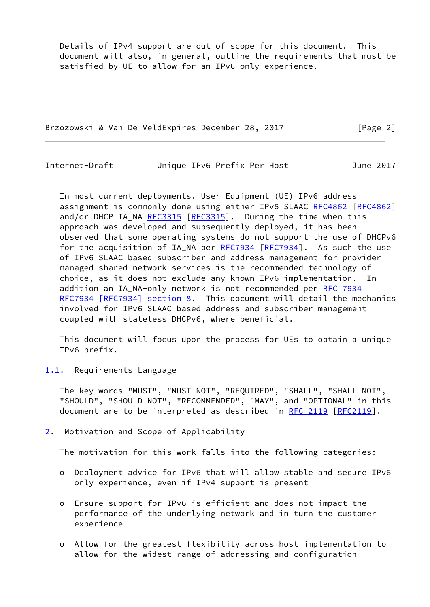Details of IPv4 support are out of scope for this document. This document will also, in general, outline the requirements that must be satisfied by UE to allow for an IPv6 only experience.

Brzozowski & Van De VeldExpires December 28, 2017 [Page 2]

<span id="page-2-1"></span>Internet-Draft Unique IPv6 Prefix Per Host June 2017

 In most current deployments, User Equipment (UE) IPv6 address assignment is commonly done using either IPv6 SLAAC [RFC4862 \[RFC4862](https://datatracker.ietf.org/doc/pdf/rfc4862)] and/or DHCP IA\_NA [RFC3315](https://datatracker.ietf.org/doc/pdf/rfc3315) [[RFC3315](https://datatracker.ietf.org/doc/pdf/rfc3315)]. During the time when this approach was developed and subsequently deployed, it has been observed that some operating systems do not support the use of DHCPv6 for the acquisition of IA\_NA per [RFC7934](https://datatracker.ietf.org/doc/pdf/rfc7934) [\[RFC7934](https://datatracker.ietf.org/doc/pdf/rfc7934)]. As such the use of IPv6 SLAAC based subscriber and address management for provider managed shared network services is the recommended technology of choice, as it does not exclude any known IPv6 implementation. In addition an IA\_NA-only network is not recommended per [RFC 7934](https://datatracker.ietf.org/doc/pdf/rfc7934) [RFC7934](https://datatracker.ietf.org/doc/pdf/rfc7934) [\[RFC7934\] section](https://datatracker.ietf.org/doc/pdf/rfc7934#section-8) 8. This document will detail the mechanics involved for IPv6 SLAAC based address and subscriber management coupled with stateless DHCPv6, where beneficial.

 This document will focus upon the process for UEs to obtain a unique IPv6 prefix.

<span id="page-2-0"></span>[1.1](#page-2-0). Requirements Language

 The key words "MUST", "MUST NOT", "REQUIRED", "SHALL", "SHALL NOT", "SHOULD", "SHOULD NOT", "RECOMMENDED", "MAY", and "OPTIONAL" in this document are to be interpreted as described in [RFC 2119 \[RFC2119](https://datatracker.ietf.org/doc/pdf/rfc2119)].

<span id="page-2-2"></span>[2](#page-2-2). Motivation and Scope of Applicability

The motivation for this work falls into the following categories:

- o Deployment advice for IPv6 that will allow stable and secure IPv6 only experience, even if IPv4 support is present
- o Ensure support for IPv6 is efficient and does not impact the performance of the underlying network and in turn the customer experience
- o Allow for the greatest flexibility across host implementation to allow for the widest range of addressing and configuration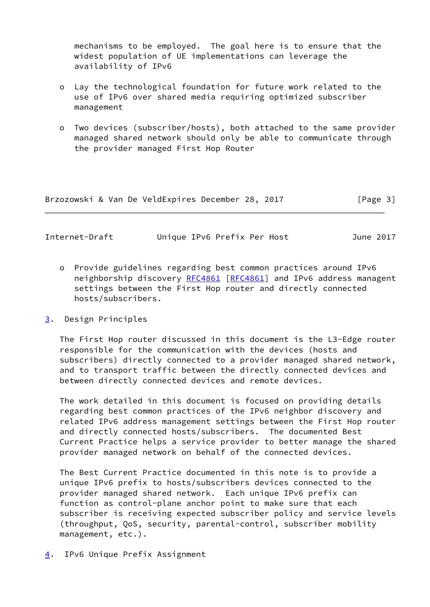mechanisms to be employed. The goal here is to ensure that the widest population of UE implementations can leverage the availability of IPv6

- o Lay the technological foundation for future work related to the use of IPv6 over shared media requiring optimized subscriber management
- o Two devices (subscriber/hosts), both attached to the same provider managed shared network should only be able to communicate through the provider managed First Hop Router

|  |  | Brzozowski & Van De VeldExpires December 28, 2017 |  |  | [Page 3] |  |
|--|--|---------------------------------------------------|--|--|----------|--|
|  |  |                                                   |  |  |          |  |

<span id="page-3-1"></span>Internet-Draft Unique IPv6 Prefix Per Host June 2017

- o Provide guidelines regarding best common practices around IPv6 neighborship discovery [RFC4861](https://datatracker.ietf.org/doc/pdf/rfc4861) [[RFC4861](https://datatracker.ietf.org/doc/pdf/rfc4861)] and IPv6 address managent settings between the First Hop router and directly connected hosts/subscribers.
- <span id="page-3-0"></span>[3](#page-3-0). Design Principles

 The First Hop router discussed in this document is the L3-Edge router responsible for the communication with the devices (hosts and subscribers) directly connected to a provider managed shared network, and to transport traffic between the directly connected devices and between directly connected devices and remote devices.

 The work detailed in this document is focused on providing details regarding best common practices of the IPv6 neighbor discovery and related IPv6 address management settings between the First Hop router and directly connected hosts/subscribers. The documented Best Current Practice helps a service provider to better manage the shared provider managed network on behalf of the connected devices.

 The Best Current Practice documented in this note is to provide a unique IPv6 prefix to hosts/subscribers devices connected to the provider managed shared network. Each unique IPv6 prefix can function as control-plane anchor point to make sure that each subscriber is receiving expected subscriber policy and service levels (throughput, QoS, security, parental-control, subscriber mobility management, etc.).

<span id="page-3-2"></span>[4](#page-3-2). IPv6 Unique Prefix Assignment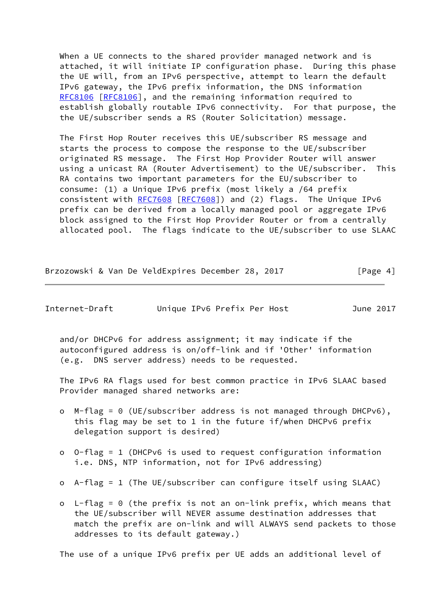When a UE connects to the shared provider managed network and is attached, it will initiate IP configuration phase. During this phase the UE will, from an IPv6 perspective, attempt to learn the default IPv6 gateway, the IPv6 prefix information, the DNS information [RFC8106](https://datatracker.ietf.org/doc/pdf/rfc8106) [\[RFC8106](https://datatracker.ietf.org/doc/pdf/rfc8106)], and the remaining information required to establish globally routable IPv6 connectivity. For that purpose, the the UE/subscriber sends a RS (Router Solicitation) message.

 The First Hop Router receives this UE/subscriber RS message and starts the process to compose the response to the UE/subscriber originated RS message. The First Hop Provider Router will answer using a unicast RA (Router Advertisement) to the UE/subscriber. This RA contains two important parameters for the EU/subscriber to consume: (1) a Unique IPv6 prefix (most likely a /64 prefix consistent with [RFC7608](https://datatracker.ietf.org/doc/pdf/rfc7608) [\[RFC7608](https://datatracker.ietf.org/doc/pdf/rfc7608)]) and (2) flags. The Unique IPv6 prefix can be derived from a locally managed pool or aggregate IPv6 block assigned to the First Hop Provider Router or from a centrally allocated pool. The flags indicate to the UE/subscriber to use SLAAC

Brzozowski & Van De VeldExpires December 28, 2017 [Page 4]

| Internet-Draft | Unique IPv6 Prefix Per Host |  |  |  |  |  | June 2017 |
|----------------|-----------------------------|--|--|--|--|--|-----------|
|----------------|-----------------------------|--|--|--|--|--|-----------|

 and/or DHCPv6 for address assignment; it may indicate if the autoconfigured address is on/off-link and if 'Other' information (e.g. DNS server address) needs to be requested.

 The IPv6 RA flags used for best common practice in IPv6 SLAAC based Provider managed shared networks are:

- o M-flag = 0 (UE/subscriber address is not managed through DHCPv6), this flag may be set to 1 in the future if/when DHCPv6 prefix delegation support is desired)
- o O-flag = 1 (DHCPv6 is used to request configuration information i.e. DNS, NTP information, not for IPv6 addressing)
- o A-flag = 1 (The UE/subscriber can configure itself using SLAAC)
- o L-flag = 0 (the prefix is not an on-link prefix, which means that the UE/subscriber will NEVER assume destination addresses that match the prefix are on-link and will ALWAYS send packets to those addresses to its default gateway.)

The use of a unique IPv6 prefix per UE adds an additional level of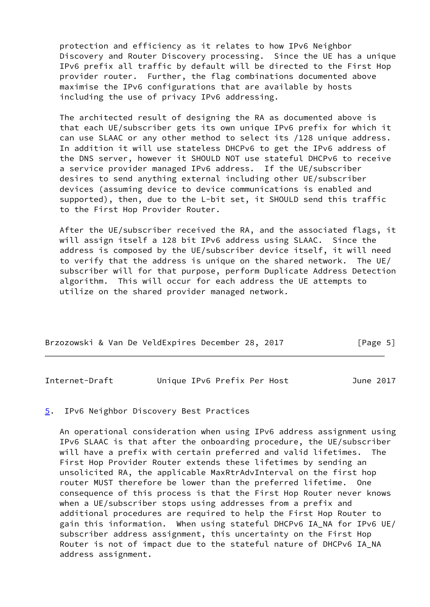protection and efficiency as it relates to how IPv6 Neighbor Discovery and Router Discovery processing. Since the UE has a unique IPv6 prefix all traffic by default will be directed to the First Hop provider router. Further, the flag combinations documented above maximise the IPv6 configurations that are available by hosts including the use of privacy IPv6 addressing.

 The architected result of designing the RA as documented above is that each UE/subscriber gets its own unique IPv6 prefix for which it can use SLAAC or any other method to select its /128 unique address. In addition it will use stateless DHCPv6 to get the IPv6 address of the DNS server, however it SHOULD NOT use stateful DHCPv6 to receive a service provider managed IPv6 address. If the UE/subscriber desires to send anything external including other UE/subscriber devices (assuming device to device communications is enabled and supported), then, due to the L-bit set, it SHOULD send this traffic to the First Hop Provider Router.

 After the UE/subscriber received the RA, and the associated flags, it will assign itself a 128 bit IPv6 address using SLAAC. Since the address is composed by the UE/subscriber device itself, it will need to verify that the address is unique on the shared network. The UE/ subscriber will for that purpose, perform Duplicate Address Detection algorithm. This will occur for each address the UE attempts to utilize on the shared provider managed network.

| Brzozowski & Van De VeldExpires December 28, 2017 |  |  |  | [Page 5] |
|---------------------------------------------------|--|--|--|----------|
|---------------------------------------------------|--|--|--|----------|

<span id="page-5-1"></span>Internet-Draft Unique IPv6 Prefix Per Host June 2017

#### <span id="page-5-0"></span>[5](#page-5-0). IPv6 Neighbor Discovery Best Practices

 An operational consideration when using IPv6 address assignment using IPv6 SLAAC is that after the onboarding procedure, the UE/subscriber will have a prefix with certain preferred and valid lifetimes. The First Hop Provider Router extends these lifetimes by sending an unsolicited RA, the applicable MaxRtrAdvInterval on the first hop router MUST therefore be lower than the preferred lifetime. One consequence of this process is that the First Hop Router never knows when a UE/subscriber stops using addresses from a prefix and additional procedures are required to help the First Hop Router to gain this information. When using stateful DHCPv6 IA\_NA for IPv6 UE/ subscriber address assignment, this uncertainty on the First Hop Router is not of impact due to the stateful nature of DHCPv6 IA\_NA address assignment.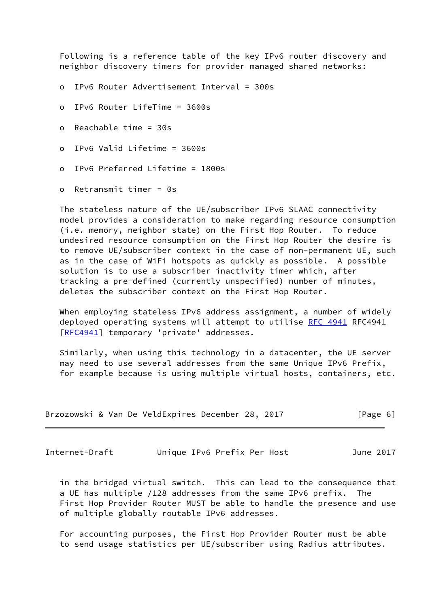Following is a reference table of the key IPv6 router discovery and neighbor discovery timers for provider managed shared networks:

- o IPv6 Router Advertisement Interval = 300s
- o IPv6 Router LifeTime = 3600s
- o Reachable time = 30s
- o IPv6 Valid Lifetime = 3600s
- o IPv6 Preferred Lifetime = 1800s
- o Retransmit timer = 0s

 The stateless nature of the UE/subscriber IPv6 SLAAC connectivity model provides a consideration to make regarding resource consumption (i.e. memory, neighbor state) on the First Hop Router. To reduce undesired resource consumption on the First Hop Router the desire is to remove UE/subscriber context in the case of non-permanent UE, such as in the case of WiFi hotspots as quickly as possible. A possible solution is to use a subscriber inactivity timer which, after tracking a pre-defined (currently unspecified) number of minutes, deletes the subscriber context on the First Hop Router.

When employing stateless IPv6 address assignment, a number of widely deployed operating systems will attempt to utilise [RFC 4941](https://datatracker.ietf.org/doc/pdf/rfc4941) RFC4941 [\[RFC4941](https://datatracker.ietf.org/doc/pdf/rfc4941)] temporary 'private' addresses.

 Similarly, when using this technology in a datacenter, the UE server may need to use several addresses from the same Unique IPv6 Prefix, for example because is using multiple virtual hosts, containers, etc.

| Brzozowski & Van De VeldExpires December 28, 2017 |  | [Page 6] |  |
|---------------------------------------------------|--|----------|--|
|---------------------------------------------------|--|----------|--|

<span id="page-6-0"></span>Internet-Draft Unique IPv6 Prefix Per Host June 2017

 in the bridged virtual switch. This can lead to the consequence that a UE has multiple /128 addresses from the same IPv6 prefix. The First Hop Provider Router MUST be able to handle the presence and use of multiple globally routable IPv6 addresses.

 For accounting purposes, the First Hop Provider Router must be able to send usage statistics per UE/subscriber using Radius attributes.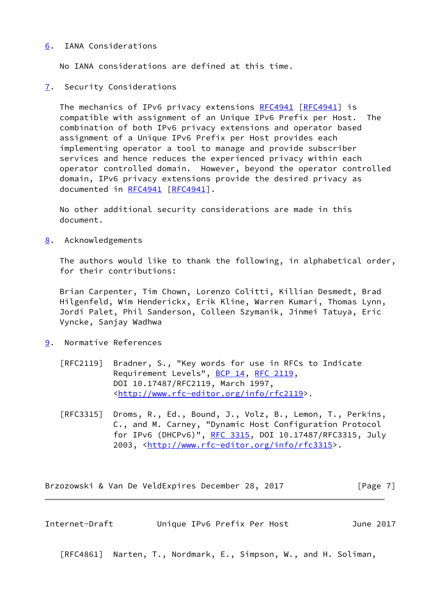## <span id="page-7-0"></span>[6](#page-7-0). IANA Considerations

No IANA considerations are defined at this time.

<span id="page-7-1"></span>[7](#page-7-1). Security Considerations

The mechanics of IPv6 privacy extensions [RFC4941](https://datatracker.ietf.org/doc/pdf/rfc4941) [\[RFC4941](https://datatracker.ietf.org/doc/pdf/rfc4941)] is compatible with assignment of an Unique IPv6 Prefix per Host. The combination of both IPv6 privacy extensions and operator based assignment of a Unique IPv6 Prefix per Host provides each implementing operator a tool to manage and provide subscriber services and hence reduces the experienced privacy within each operator controlled domain. However, beyond the operator controlled domain, IPv6 privacy extensions provide the desired privacy as documented in [RFC4941](https://datatracker.ietf.org/doc/pdf/rfc4941) [[RFC4941](https://datatracker.ietf.org/doc/pdf/rfc4941)].

 No other additional security considerations are made in this document.

<span id="page-7-2"></span>[8](#page-7-2). Acknowledgements

 The authors would like to thank the following, in alphabetical order, for their contributions:

 Brian Carpenter, Tim Chown, Lorenzo Colitti, Killian Desmedt, Brad Hilgenfeld, Wim Henderickx, Erik Kline, Warren Kumari, Thomas Lynn, Jordi Palet, Phil Sanderson, Colleen Szymanik, Jinmei Tatuya, Eric Vyncke, Sanjay Wadhwa

- <span id="page-7-3"></span>[9](#page-7-3). Normative References
	- [RFC2119] Bradner, S., "Key words for use in RFCs to Indicate Requirement Levels", [BCP 14](https://datatracker.ietf.org/doc/pdf/bcp14), [RFC 2119](https://datatracker.ietf.org/doc/pdf/rfc2119), DOI 10.17487/RFC2119, March 1997, <<http://www.rfc-editor.org/info/rfc2119>>.
	- [RFC3315] Droms, R., Ed., Bound, J., Volz, B., Lemon, T., Perkins, C., and M. Carney, "Dynamic Host Configuration Protocol for IPv6 (DHCPv6)", [RFC 3315,](https://datatracker.ietf.org/doc/pdf/rfc3315) DOI 10.17487/RFC3315, July 2003, [<http://www.rfc-editor.org/info/rfc3315](http://www.rfc-editor.org/info/rfc3315)>.

Brzozowski & Van De VeldExpires December 28, 2017 [Page 7]

<span id="page-7-4"></span>Internet-Draft Unique IPv6 Prefix Per Host June 2017

[RFC4861] Narten, T., Nordmark, E., Simpson, W., and H. Soliman,